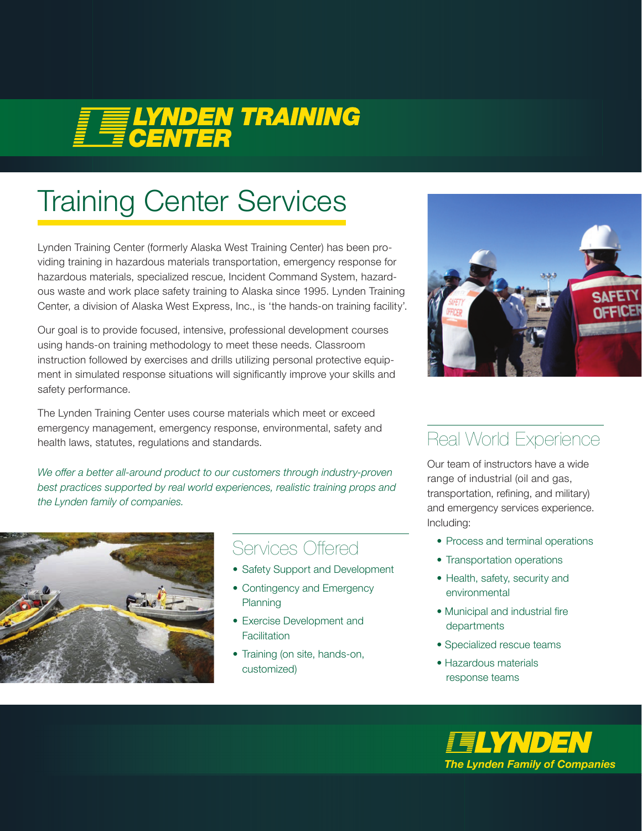# **FELYNDEN TRAINING**

## Training Center Services

Lynden Training Center (formerly Alaska West Training Center) has been providing training in hazardous materials transportation, emergency response for hazardous materials, specialized rescue, Incident Command System, hazardous waste and work place safety training to Alaska since 1995. Lynden Training Center, a division of Alaska West Express, Inc., is 'the hands-on training facility'.

Our goal is to provide focused, intensive, professional development courses using hands-on training methodology to meet these needs. Classroom instruction followed by exercises and drills utilizing personal protective equipment in simulated response situations will significantly improve your skills and safety performance.

The Lynden Training Center uses course materials which meet or exceed emergency management, emergency response, environmental, safety and health laws, statutes, regulations and standards.

We offer a better all-around product to our customers through industry-proven *best practices supported by real world experiences, realistic training props and the Lynden family of companies.*



## Services Offered

- Safety Support and Development
- Contingency and Emergency **Planning**
- Exercise Development and **Facilitation**
- Training (on site, hands-on, customized)



## Real World Experience

Our team of instructors have a wide range of industrial (oil and gas, transportation, refining, and military) and emergency services experience. Including:

- Process and terminal operations
- Transportation operations
- Health, safety, security and environmental
- Municipal and industrial fire departments
- Specialized rescue teams
- Hazardous materials response teams